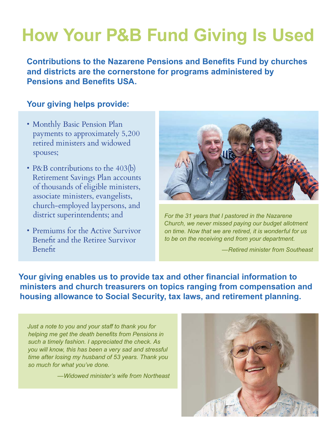## **How Your P&B Fund Giving Is Used**

**Contributions to the Nazarene Pensions and Benefits Fund by churches and districts are the cornerstone for programs administered by Pensions and Benefits USA.** 

## **Your giving helps provide:**

- Monthly Basic Pension Plan payments to approximately 5,200 retired ministers and widowed spouses;
- P&B contributions to the 403(b) Retirement Savings Plan accounts of thousands of eligible ministers, associate ministers, evangelists, church-employed laypersons, and district superintendents; and
- Premiums for the Active Survivor Benefit and the Retiree Survivor Benefit



*For the 31 years that I pastored in the Nazarene Church, we never missed paying our budget allotment on time. Now that we are retired, it is wonderful for us to be on the receiving end from your department.* 

*—Retired minister from Southeast*

**Your giving enables us to provide tax and other financial information to ministers and church treasurers on topics ranging from compensation and housing allowance to Social Security, tax laws, and retirement planning.**

*Just a note to you and your staff to thank you for helping me get the death benefits from Pensions in such a timely fashion. I appreciated the check. As you will know, this has been a very sad and stressful time after losing my husband of 53 years. Thank you so much for what you've done.* 

*—Widowed minister's wife from Northeast*